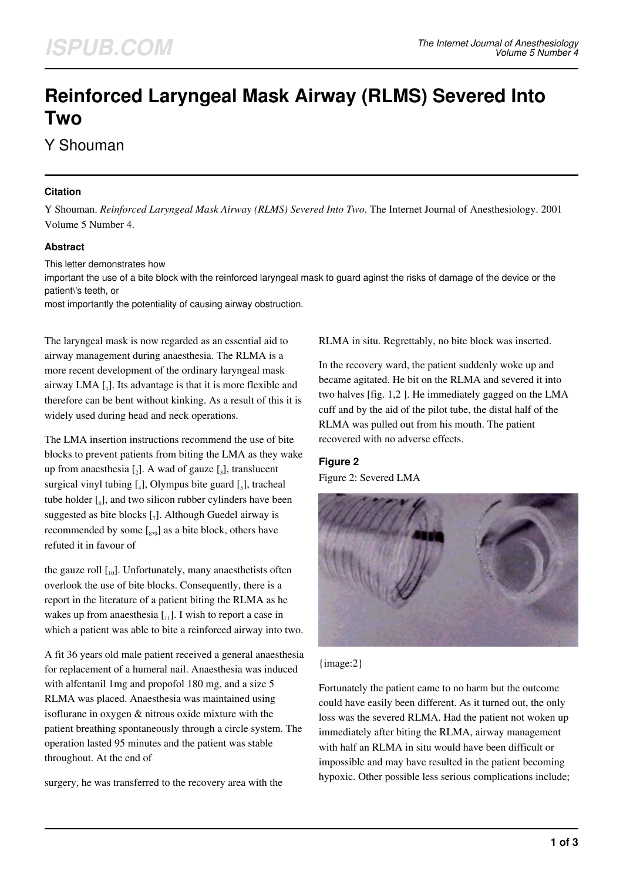# **Reinforced Laryngeal Mask Airway (RLMS) Severed Into Two**

Y Shouman

#### **Citation**

Y Shouman. *Reinforced Laryngeal Mask Airway (RLMS) Severed Into Two*. The Internet Journal of Anesthesiology. 2001 Volume 5 Number 4.

## **Abstract**

This letter demonstrates how

important the use of a bite block with the reinforced laryngeal mask to guard aginst the risks of damage of the device or the patient\'s teeth, or

most importantly the potentiality of causing airway obstruction.

The laryngeal mask is now regarded as an essential aid to airway management during anaesthesia. The RLMA is a more recent development of the ordinary laryngeal mask airway LMA [1]. Its advantage is that it is more flexible and therefore can be bent without kinking. As a result of this it is widely used during head and neck operations.

The LMA insertion instructions recommend the use of bite blocks to prevent patients from biting the LMA as they wake up from anaesthesia  $\left[\begin{smallmatrix}2\end{smallmatrix}\right]$ . A wad of gauze  $\left[\begin{smallmatrix}3\end{smallmatrix}\right]$ , translucent surgical vinyl tubing  $[$ <sub>4</sub> $]$ , Olympus bite guard  $[$ <sub>5</sub> $]$ , tracheal tube holder  $\left[\begin{smallmatrix}6\end{smallmatrix}\right]$ , and two silicon rubber cylinders have been suggested as bite blocks [7]. Although Guedel airway is recommended by some  $\left[ \begin{smallmatrix} 8 & 9 \end{smallmatrix} \right]$  as a bite block, others have refuted it in favour of

the gauze roll  $\begin{bmatrix} 1 & 0 \end{bmatrix}$ . Unfortunately, many anaesthetists often overlook the use of bite blocks. Consequently, there is a report in the literature of a patient biting the RLMA as he wakes up from anaesthesia  $\begin{bmatrix} 1 \\ 1 \end{bmatrix}$ . I wish to report a case in which a patient was able to bite a reinforced airway into two.

A fit 36 years old male patient received a general anaesthesia for replacement of a humeral nail. Anaesthesia was induced with alfentanil 1mg and propofol 180 mg, and a size 5 RLMA was placed. Anaesthesia was maintained using isoflurane in oxygen & nitrous oxide mixture with the patient breathing spontaneously through a circle system. The operation lasted 95 minutes and the patient was stable throughout. At the end of

surgery, he was transferred to the recovery area with the

RLMA in situ. Regrettably, no bite block was inserted.

In the recovery ward, the patient suddenly woke up and became agitated. He bit on the RLMA and severed it into two halves [fig. 1,2 ]. He immediately gagged on the LMA cuff and by the aid of the pilot tube, the distal half of the RLMA was pulled out from his mouth. The patient recovered with no adverse effects.

## **Figure 2**

Figure 2: Severed LMA



{image:2}

Fortunately the patient came to no harm but the outcome could have easily been different. As it turned out, the only loss was the severed RLMA. Had the patient not woken up immediately after biting the RLMA, airway management with half an RLMA in situ would have been difficult or impossible and may have resulted in the patient becoming hypoxic. Other possible less serious complications include;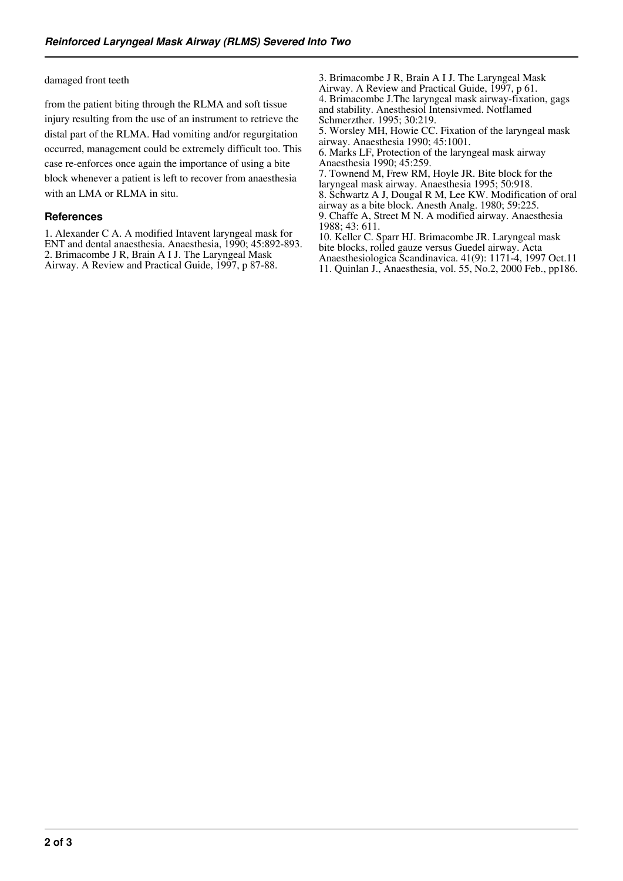damaged front teeth

from the patient biting through the RLMA and soft tissue injury resulting from the use of an instrument to retrieve the distal part of the RLMA. Had vomiting and/or regurgitation occurred, management could be extremely difficult too. This case re-enforces once again the importance of using a bite block whenever a patient is left to recover from anaesthesia with an LMA or RLMA in situ.

#### **References**

1. Alexander C A. A modified Intavent laryngeal mask for ENT and dental anaesthesia. Anaesthesia, 1990; 45:892-893. 2. Brimacombe J R, Brain A I J. The Laryngeal Mask Airway. A Review and Practical Guide, 1997, p 87-88.

3. Brimacombe J R, Brain A I J. The Laryngeal Mask Airway. A Review and Practical Guide, 1997, p 61. 4. Brimacombe J.The laryngeal mask airway-fixation, gags and stability. Anesthesiol Intensivmed. Notflamed Schmerzther. 1995; 30:219.

5. Worsley MH, Howie CC. Fixation of the laryngeal mask airway. Anaesthesia 1990; 45:1001.

6. Marks LF, Protection of the laryngeal mask airway Anaesthesia 1990; 45:259.

7. Townend M, Frew RM, Hoyle JR. Bite block for the laryngeal mask airway. Anaesthesia 1995; 50:918.

8. Schwartz A J, Dougal R M, Lee KW. Modification of oral

airway as a bite block. Anesth Analg. 1980; 59:225. 9. Chaffe A, Street M N. A modified airway. Anaesthesia

1988; 43: 611. 10. Keller C. Sparr HJ. Brimacombe JR. Laryngeal mask bite blocks, rolled gauze versus Guedel airway. Acta

Anaesthesiologica Scandinavica. 41(9): 1171-4, 1997 Oct.11 11. Quinlan J., Anaesthesia, vol. 55, No.2, 2000 Feb., pp186.